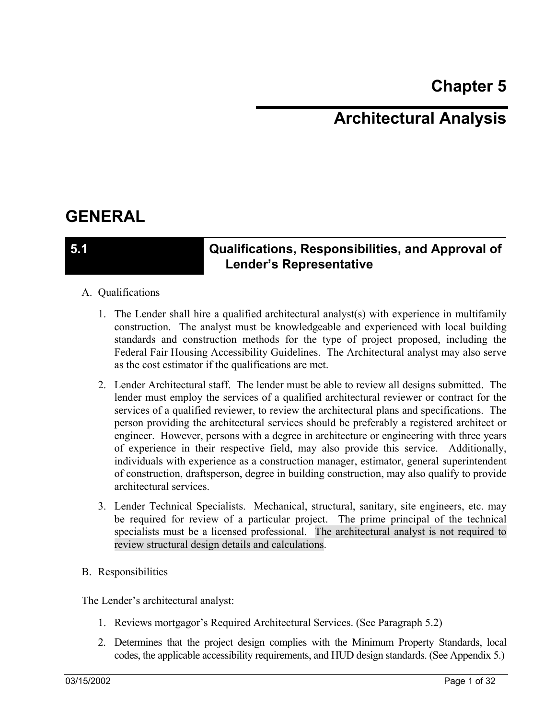# **Chapter 5**

# **Architectural Analysis**

# **GENERAL**

## **5.1 Qualifications, Responsibilities, and Approval of Lender's Representative**

### A. Qualifications

- 1. The Lender shall hire a qualified architectural analyst(s) with experience in multifamily construction. The analyst must be knowledgeable and experienced with local building standards and construction methods for the type of project proposed, including the Federal Fair Housing Accessibility Guidelines. The Architectural analyst may also serve as the cost estimator if the qualifications are met.
- 2. Lender Architectural staff. The lender must be able to review all designs submitted. The lender must employ the services of a qualified architectural reviewer or contract for the services of a qualified reviewer, to review the architectural plans and specifications. The person providing the architectural services should be preferably a registered architect or engineer. However, persons with a degree in architecture or engineering with three years of experience in their respective field, may also provide this service. Additionally, individuals with experience as a construction manager, estimator, general superintendent of construction, draftsperson, degree in building construction, may also qualify to provide architectural services.
- 3. Lender Technical Specialists. Mechanical, structural, sanitary, site engineers, etc. may be required for review of a particular project. The prime principal of the technical specialists must be a licensed professional. The architectural analyst is not required to review structural design details and calculations.
- B. Responsibilities

The Lender's architectural analyst:

- 1. Reviews mortgagor's Required Architectural Services. (See Paragraph 5.2)
- 2. Determines that the project design complies with the Minimum Property Standards, local codes, the applicable accessibility requirements, and HUD design standards. (See Appendix 5.)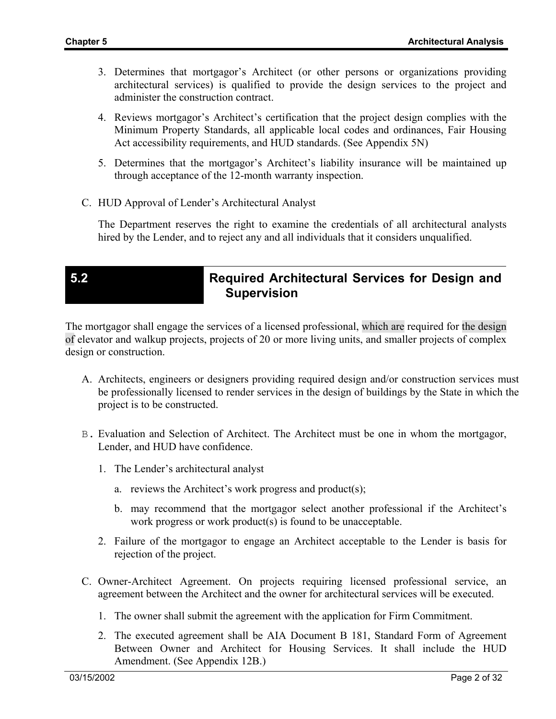- 3. Determines that mortgagor's Architect (or other persons or organizations providing architectural services) is qualified to provide the design services to the project and administer the construction contract.
- 4. Reviews mortgagor's Architect's certification that the project design complies with the Minimum Property Standards, all applicable local codes and ordinances, Fair Housing Act accessibility requirements, and HUD standards. (See Appendix 5N)
- 5. Determines that the mortgagor's Architect's liability insurance will be maintained up through acceptance of the 12-month warranty inspection.
- C. HUD Approval of Lender's Architectural Analyst

The Department reserves the right to examine the credentials of all architectural analysts hired by the Lender, and to reject any and all individuals that it considers unqualified.

# **5.2 Required Architectural Services for Design and Supervision**

The mortgagor shall engage the services of a licensed professional, which are required for the design of elevator and walkup projects, projects of 20 or more living units, and smaller projects of complex design or construction.

- A. Architects, engineers or designers providing required design and/or construction services must be professionally licensed to render services in the design of buildings by the State in which the project is to be constructed.
- B. Evaluation and Selection of Architect. The Architect must be one in whom the mortgagor, Lender, and HUD have confidence.
	- 1. The Lender's architectural analyst
		- a. reviews the Architect's work progress and product(s);
		- b. may recommend that the mortgagor select another professional if the Architect's work progress or work product(s) is found to be unacceptable.
	- 2. Failure of the mortgagor to engage an Architect acceptable to the Lender is basis for rejection of the project.
- C. Owner-Architect Agreement. On projects requiring licensed professional service, an agreement between the Architect and the owner for architectural services will be executed.
	- 1. The owner shall submit the agreement with the application for Firm Commitment.
	- 2. The executed agreement shall be AIA Document B 181, Standard Form of Agreement Between Owner and Architect for Housing Services. It shall include the HUD Amendment. (See Appendix 12B.)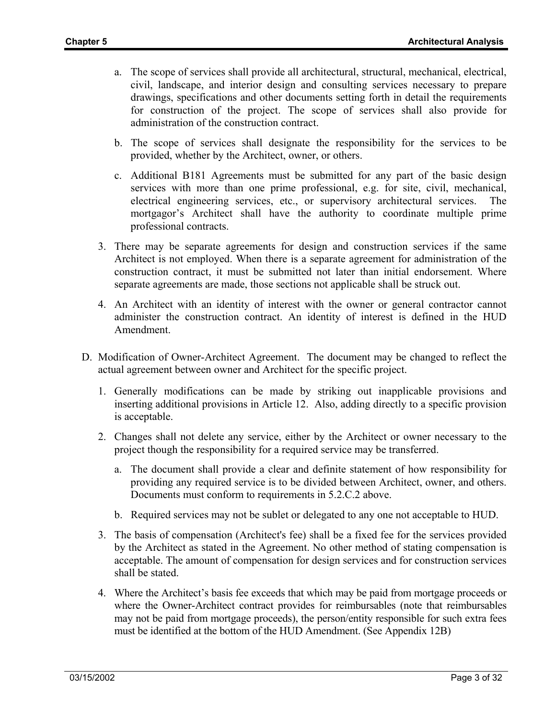- a. The scope of services shall provide all architectural, structural, mechanical, electrical, civil, landscape, and interior design and consulting services necessary to prepare drawings, specifications and other documents setting forth in detail the requirements for construction of the project. The scope of services shall also provide for administration of the construction contract.
- b. The scope of services shall designate the responsibility for the services to be provided, whether by the Architect, owner, or others.
- c. Additional B181 Agreements must be submitted for any part of the basic design services with more than one prime professional, e.g. for site, civil, mechanical, electrical engineering services, etc., or supervisory architectural services. The mortgagor's Architect shall have the authority to coordinate multiple prime professional contracts.
- 3. There may be separate agreements for design and construction services if the same Architect is not employed. When there is a separate agreement for administration of the construction contract, it must be submitted not later than initial endorsement. Where separate agreements are made, those sections not applicable shall be struck out.
- 4. An Architect with an identity of interest with the owner or general contractor cannot administer the construction contract. An identity of interest is defined in the HUD Amendment.
- D. Modification of Owner-Architect Agreement. The document may be changed to reflect the actual agreement between owner and Architect for the specific project.
	- 1. Generally modifications can be made by striking out inapplicable provisions and inserting additional provisions in Article 12. Also, adding directly to a specific provision is acceptable.
	- 2. Changes shall not delete any service, either by the Architect or owner necessary to the project though the responsibility for a required service may be transferred.
		- a. The document shall provide a clear and definite statement of how responsibility for providing any required service is to be divided between Architect, owner, and others. Documents must conform to requirements in 5.2.C.2 above.
		- b. Required services may not be sublet or delegated to any one not acceptable to HUD.
	- 3. The basis of compensation (Architect's fee) shall be a fixed fee for the services provided by the Architect as stated in the Agreement. No other method of stating compensation is acceptable. The amount of compensation for design services and for construction services shall be stated.
	- 4. Where the Architect's basis fee exceeds that which may be paid from mortgage proceeds or where the Owner-Architect contract provides for reimbursables (note that reimbursables may not be paid from mortgage proceeds), the person/entity responsible for such extra fees must be identified at the bottom of the HUD Amendment. (See Appendix 12B)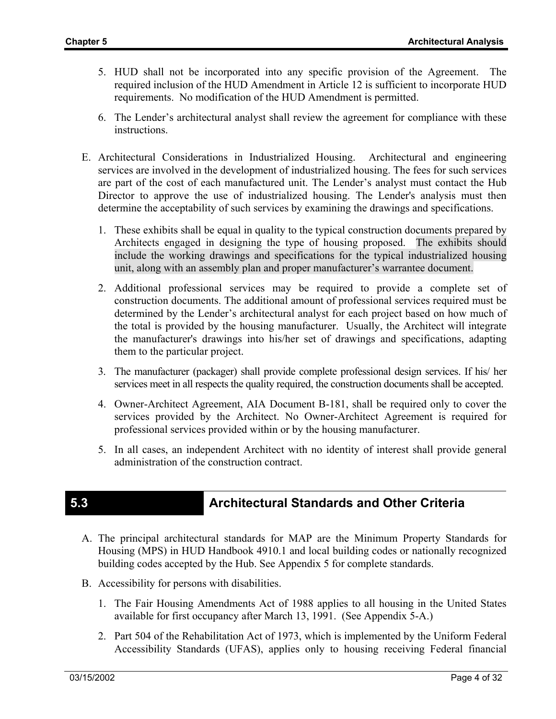- 5. HUD shall not be incorporated into any specific provision of the Agreement. The required inclusion of the HUD Amendment in Article 12 is sufficient to incorporate HUD requirements. No modification of the HUD Amendment is permitted.
- 6. The Lender's architectural analyst shall review the agreement for compliance with these instructions.
- E. Architectural Considerations in Industrialized Housing. Architectural and engineering services are involved in the development of industrialized housing. The fees for such services are part of the cost of each manufactured unit. The Lender's analyst must contact the Hub Director to approve the use of industrialized housing. The Lender's analysis must then determine the acceptability of such services by examining the drawings and specifications.
	- 1. These exhibits shall be equal in quality to the typical construction documents prepared by Architects engaged in designing the type of housing proposed. The exhibits should include the working drawings and specifications for the typical industrialized housing unit, along with an assembly plan and proper manufacturer's warrantee document.
	- 2. Additional professional services may be required to provide a complete set of construction documents. The additional amount of professional services required must be determined by the Lender's architectural analyst for each project based on how much of the total is provided by the housing manufacturer. Usually, the Architect will integrate the manufacturer's drawings into his/her set of drawings and specifications, adapting them to the particular project.
	- 3. The manufacturer (packager) shall provide complete professional design services. If his/ her services meet in all respects the quality required, the construction documents shall be accepted.
	- 4. Owner-Architect Agreement, AIA Document B-181, shall be required only to cover the services provided by the Architect. No Owner-Architect Agreement is required for professional services provided within or by the housing manufacturer.
	- 5. In all cases, an independent Architect with no identity of interest shall provide general administration of the construction contract.

# **5.3 Architectural Standards and Other Criteria**

- A. The principal architectural standards for MAP are the Minimum Property Standards for Housing (MPS) in HUD Handbook 4910.1 and local building codes or nationally recognized building codes accepted by the Hub. See Appendix 5 for complete standards.
- B. Accessibility for persons with disabilities.
	- 1. The Fair Housing Amendments Act of 1988 applies to all housing in the United States available for first occupancy after March 13, 1991. (See Appendix 5-A.)
	- 2. Part 504 of the Rehabilitation Act of 1973, which is implemented by the Uniform Federal Accessibility Standards (UFAS), applies only to housing receiving Federal financial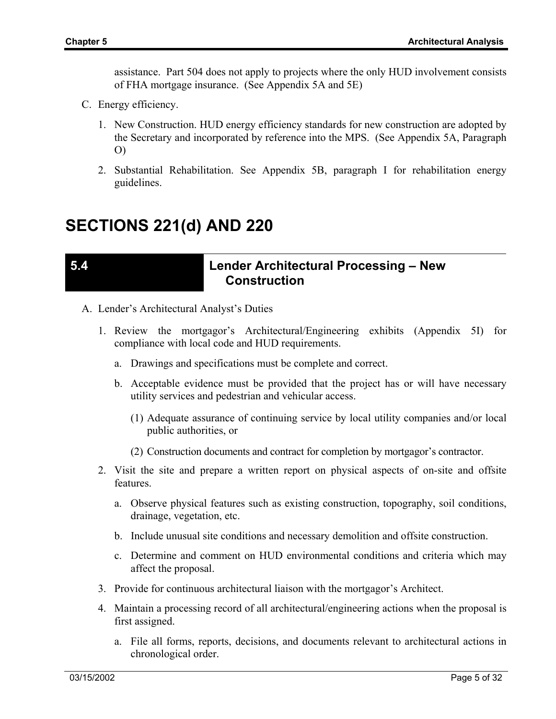assistance. Part 504 does not apply to projects where the only HUD involvement consists of FHA mortgage insurance. (See Appendix 5A and 5E)

- C. Energy efficiency.
	- 1. New Construction. HUD energy efficiency standards for new construction are adopted by the Secretary and incorporated by reference into the MPS. (See Appendix 5A, Paragraph O)
	- 2. Substantial Rehabilitation. See Appendix 5B, paragraph I for rehabilitation energy guidelines.

# **SECTIONS 221(d) AND 220**

## **5.4 Lender Architectural Processing – New Construction**

- A. Lender's Architectural Analyst's Duties
	- 1. Review the mortgagor's Architectural/Engineering exhibits (Appendix 5I) for compliance with local code and HUD requirements.
		- a. Drawings and specifications must be complete and correct.
		- b. Acceptable evidence must be provided that the project has or will have necessary utility services and pedestrian and vehicular access.
			- (1) Adequate assurance of continuing service by local utility companies and/or local public authorities, or
			- (2) Construction documents and contract for completion by mortgagor's contractor.
	- 2. Visit the site and prepare a written report on physical aspects of on-site and offsite features.
		- a. Observe physical features such as existing construction, topography, soil conditions, drainage, vegetation, etc.
		- b. Include unusual site conditions and necessary demolition and offsite construction.
		- c. Determine and comment on HUD environmental conditions and criteria which may affect the proposal.
	- 3. Provide for continuous architectural liaison with the mortgagor's Architect.
	- 4. Maintain a processing record of all architectural/engineering actions when the proposal is first assigned.
		- a. File all forms, reports, decisions, and documents relevant to architectural actions in chronological order.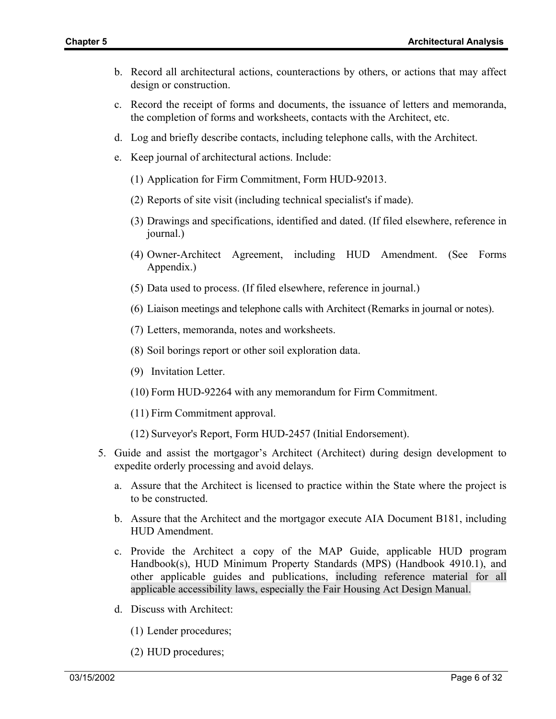- b. Record all architectural actions, counteractions by others, or actions that may affect design or construction.
- c. Record the receipt of forms and documents, the issuance of letters and memoranda, the completion of forms and worksheets, contacts with the Architect, etc.
- d. Log and briefly describe contacts, including telephone calls, with the Architect.
- e. Keep journal of architectural actions. Include:
	- (1) Application for Firm Commitment, Form HUD-92013.
	- (2) Reports of site visit (including technical specialist's if made).
	- (3) Drawings and specifications, identified and dated. (If filed elsewhere, reference in journal.)
	- (4) Owner-Architect Agreement, including HUD Amendment. (See Forms Appendix.)
	- (5) Data used to process. (If filed elsewhere, reference in journal.)
	- (6) Liaison meetings and telephone calls with Architect (Remarks in journal or notes).
	- (7) Letters, memoranda, notes and worksheets.
	- (8) Soil borings report or other soil exploration data.
	- (9) Invitation Letter.
	- (10) Form HUD-92264 with any memorandum for Firm Commitment.
	- (11) Firm Commitment approval.
	- (12) Surveyor's Report, Form HUD-2457 (Initial Endorsement).
- 5. Guide and assist the mortgagor's Architect (Architect) during design development to expedite orderly processing and avoid delays.
	- a. Assure that the Architect is licensed to practice within the State where the project is to be constructed.
	- b. Assure that the Architect and the mortgagor execute AIA Document B181, including HUD Amendment.
	- c. Provide the Architect a copy of the MAP Guide, applicable HUD program Handbook(s), HUD Minimum Property Standards (MPS) (Handbook 4910.1), and other applicable guides and publications, including reference material for all applicable accessibility laws, especially the Fair Housing Act Design Manual.
	- d. Discuss with Architect:
		- (1) Lender procedures;
		- (2) HUD procedures;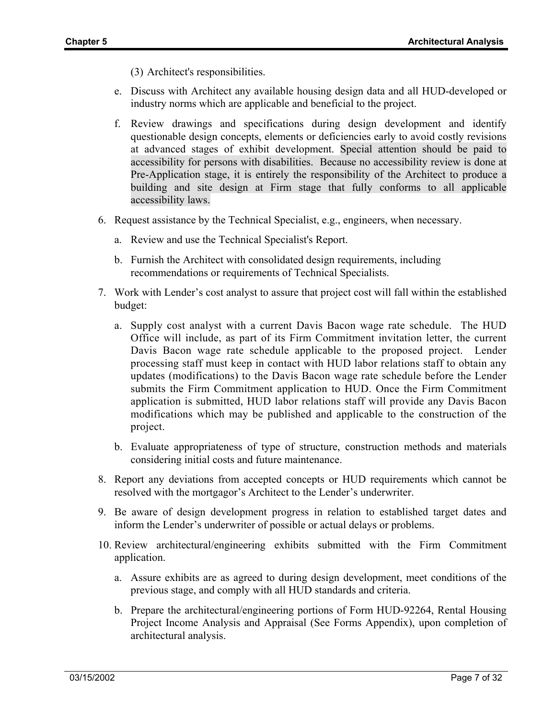(3) Architect's responsibilities.

- e. Discuss with Architect any available housing design data and all HUD-developed or industry norms which are applicable and beneficial to the project.
- f. Review drawings and specifications during design development and identify questionable design concepts, elements or deficiencies early to avoid costly revisions at advanced stages of exhibit development. Special attention should be paid to accessibility for persons with disabilities. Because no accessibility review is done at Pre-Application stage, it is entirely the responsibility of the Architect to produce a building and site design at Firm stage that fully conforms to all applicable accessibility laws.
- 6. Request assistance by the Technical Specialist, e.g., engineers, when necessary.
	- a. Review and use the Technical Specialist's Report.
	- b. Furnish the Architect with consolidated design requirements, including recommendations or requirements of Technical Specialists.
- 7. Work with Lender's cost analyst to assure that project cost will fall within the established budget:
	- a. Supply cost analyst with a current Davis Bacon wage rate schedule. The HUD Office will include, as part of its Firm Commitment invitation letter, the current Davis Bacon wage rate schedule applicable to the proposed project. Lender processing staff must keep in contact with HUD labor relations staff to obtain any updates (modifications) to the Davis Bacon wage rate schedule before the Lender submits the Firm Commitment application to HUD. Once the Firm Commitment application is submitted, HUD labor relations staff will provide any Davis Bacon modifications which may be published and applicable to the construction of the project.
	- b. Evaluate appropriateness of type of structure, construction methods and materials considering initial costs and future maintenance.
- 8. Report any deviations from accepted concepts or HUD requirements which cannot be resolved with the mortgagor's Architect to the Lender's underwriter.
- 9. Be aware of design development progress in relation to established target dates and inform the Lender's underwriter of possible or actual delays or problems.
- 10. Review architectural/engineering exhibits submitted with the Firm Commitment application.
	- a. Assure exhibits are as agreed to during design development, meet conditions of the previous stage, and comply with all HUD standards and criteria.
	- b. Prepare the architectural/engineering portions of Form HUD-92264, Rental Housing Project Income Analysis and Appraisal (See Forms Appendix), upon completion of architectural analysis.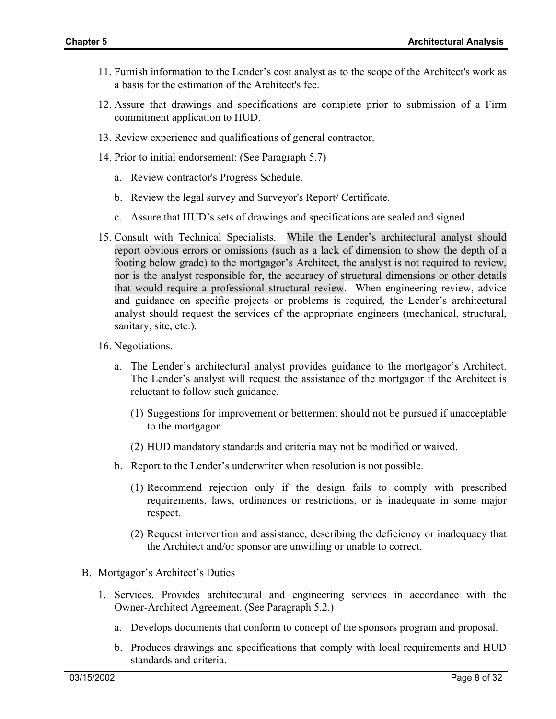- 11. Furnish information to the Lender's cost analyst as to the scope of the Architect's work as a basis for the estimation of the Architect's fee.
- 12. Assure that drawings and specifications are complete prior to submission of a Firm commitment application to HUD.
- 13. Review experience and qualifications of general contractor.
- 14. Prior to initial endorsement: (See Paragraph 5.7)
	- a. Review contractor's Progress Schedule.
	- b. Review the legal survey and Surveyor's Report/ Certificate.
	- c. Assure that HUD's sets of drawings and specifications are sealed and signed.
- 15. Consult with Technical Specialists. While the Lender's architectural analyst should report obvious errors or omissions (such as a lack of dimension to show the depth of a footing below grade) to the mortgagor's Architect, the analyst is not required to review, nor is the analyst responsible for, the accuracy of structural dimensions or other details that would require a professional structural review. When engineering review, advice and guidance on specific projects or problems is required, the Lender's architectural analyst should request the services of the appropriate engineers (mechanical, structural, sanitary, site, etc.).
- 16. Negotiations.
	- a. The Lender's architectural analyst provides guidance to the mortgagor's Architect. The Lender's analyst will request the assistance of the mortgagor if the Architect is reluctant to follow such guidance.
		- (1) Suggestions for improvement or betterment should not be pursued if unacceptable to the mortgagor.
		- (2) HUD mandatory standards and criteria may not be modified or waived.
	- b. Report to the Lender's underwriter when resolution is not possible.
		- (1) Recommend rejection only if the design fails to comply with prescribed requirements, laws, ordinances or restrictions, or is inadequate in some major respect.
		- (2) Request intervention and assistance, describing the deficiency or inadequacy that the Architect and/or sponsor are unwilling or unable to correct.
- B. Mortgagor's Architect's Duties
	- 1. Services. Provides architectural and engineering services in accordance with the Owner-Architect Agreement. (See Paragraph 5.2.)
		- a. Develops documents that conform to concept of the sponsors program and proposal.
		- b. Produces drawings and specifications that comply with local requirements and HUD standards and criteria.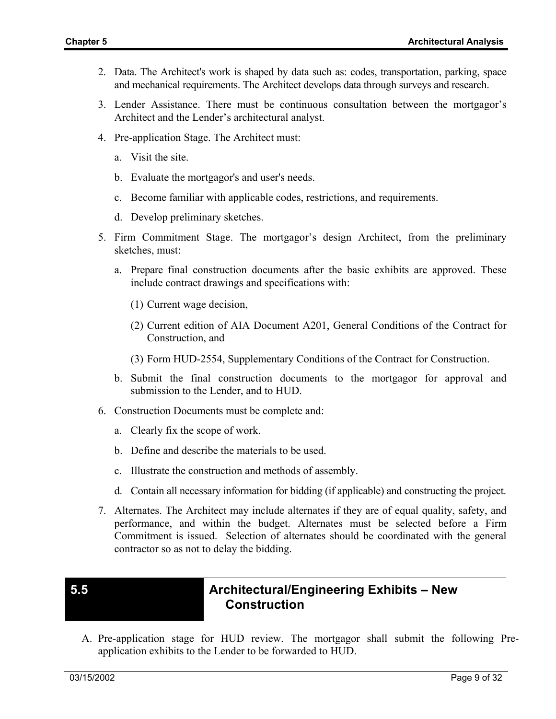- 2. Data. The Architect's work is shaped by data such as: codes, transportation, parking, space and mechanical requirements. The Architect develops data through surveys and research.
- 3. Lender Assistance. There must be continuous consultation between the mortgagor's Architect and the Lender's architectural analyst.
- 4. Pre-application Stage. The Architect must:
	- a. Visit the site.
	- b. Evaluate the mortgagor's and user's needs.
	- c. Become familiar with applicable codes, restrictions, and requirements.
	- d. Develop preliminary sketches.
- 5. Firm Commitment Stage. The mortgagor's design Architect, from the preliminary sketches, must:
	- a. Prepare final construction documents after the basic exhibits are approved. These include contract drawings and specifications with:
		- (1) Current wage decision,
		- (2) Current edition of AIA Document A201, General Conditions of the Contract for Construction, and
		- (3) Form HUD-2554, Supplementary Conditions of the Contract for Construction.
	- b. Submit the final construction documents to the mortgagor for approval and submission to the Lender, and to HUD.
- 6. Construction Documents must be complete and:
	- a. Clearly fix the scope of work.
	- b. Define and describe the materials to be used.
	- c. Illustrate the construction and methods of assembly.
	- d. Contain all necessary information for bidding (if applicable) and constructing the project.
- 7. Alternates. The Architect may include alternates if they are of equal quality, safety, and performance, and within the budget. Alternates must be selected before a Firm Commitment is issued. Selection of alternates should be coordinated with the general contractor so as not to delay the bidding.

# **5.5 Architectural/Engineering Exhibits – New Construction**

A. Pre-application stage for HUD review. The mortgagor shall submit the following Preapplication exhibits to the Lender to be forwarded to HUD.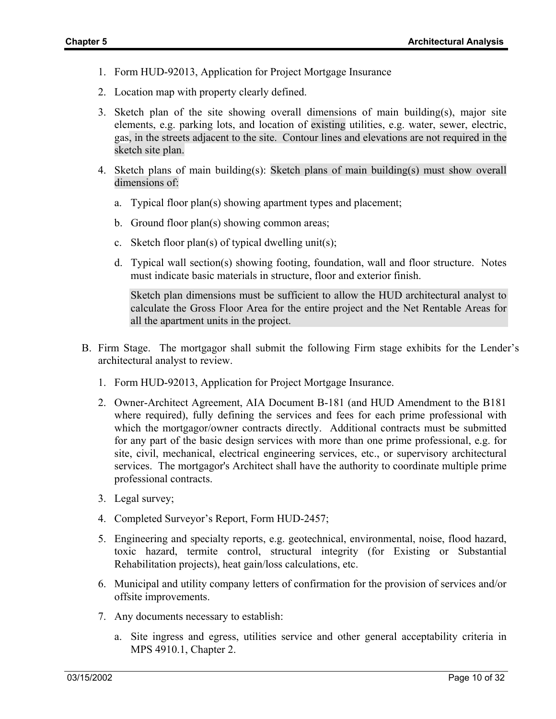- 1. Form HUD-92013, Application for Project Mortgage Insurance
- 2. Location map with property clearly defined.
- 3. Sketch plan of the site showing overall dimensions of main building(s), major site elements, e.g. parking lots, and location of existing utilities, e.g. water, sewer, electric, gas, in the streets adjacent to the site. Contour lines and elevations are not required in the sketch site plan.
- 4. Sketch plans of main building(s): Sketch plans of main building(s) must show overall dimensions of:
	- a. Typical floor plan(s) showing apartment types and placement;
	- b. Ground floor plan(s) showing common areas;
	- c. Sketch floor plan(s) of typical dwelling unit(s);
	- d. Typical wall section(s) showing footing, foundation, wall and floor structure. Notes must indicate basic materials in structure, floor and exterior finish.

Sketch plan dimensions must be sufficient to allow the HUD architectural analyst to calculate the Gross Floor Area for the entire project and the Net Rentable Areas for all the apartment units in the project.

- B. Firm Stage. The mortgagor shall submit the following Firm stage exhibits for the Lender's architectural analyst to review.
	- 1. Form HUD-92013, Application for Project Mortgage Insurance.
	- 2. Owner-Architect Agreement, AIA Document B-181 (and HUD Amendment to the B181 where required), fully defining the services and fees for each prime professional with which the mortgagor/owner contracts directly. Additional contracts must be submitted for any part of the basic design services with more than one prime professional, e.g. for site, civil, mechanical, electrical engineering services, etc., or supervisory architectural services. The mortgagor's Architect shall have the authority to coordinate multiple prime professional contracts.
	- 3. Legal survey;
	- 4. Completed Surveyor's Report, Form HUD-2457;
	- 5. Engineering and specialty reports, e.g. geotechnical, environmental, noise, flood hazard, toxic hazard, termite control, structural integrity (for Existing or Substantial Rehabilitation projects), heat gain/loss calculations, etc.
	- 6. Municipal and utility company letters of confirmation for the provision of services and/or offsite improvements.
	- 7. Any documents necessary to establish:
		- a. Site ingress and egress, utilities service and other general acceptability criteria in MPS 4910.1, Chapter 2.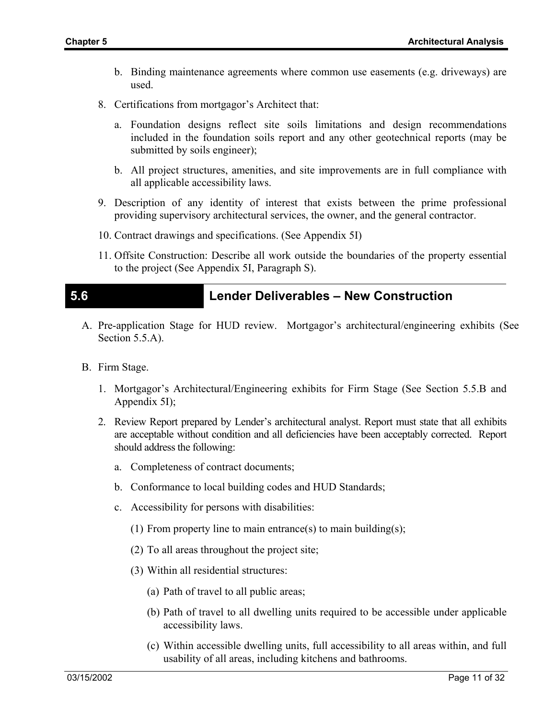- b. Binding maintenance agreements where common use easements (e.g. driveways) are used.
- 8. Certifications from mortgagor's Architect that:
	- a. Foundation designs reflect site soils limitations and design recommendations included in the foundation soils report and any other geotechnical reports (may be submitted by soils engineer);
	- b. All project structures, amenities, and site improvements are in full compliance with all applicable accessibility laws.
- 9. Description of any identity of interest that exists between the prime professional providing supervisory architectural services, the owner, and the general contractor.
- 10. Contract drawings and specifications. (See Appendix 5I)
- 11. Offsite Construction: Describe all work outside the boundaries of the property essential to the project (See Appendix 5I, Paragraph S).

## **5.6 Lender Deliverables – New Construction**

- A. Pre-application Stage for HUD review. Mortgagor's architectural/engineering exhibits (See Section 5.5.A).
- B. Firm Stage.
	- 1. Mortgagor's Architectural/Engineering exhibits for Firm Stage (See Section 5.5.B and Appendix 5I);
	- 2. Review Report prepared by Lender's architectural analyst. Report must state that all exhibits are acceptable without condition and all deficiencies have been acceptably corrected. Report should address the following:
		- a. Completeness of contract documents;
		- b. Conformance to local building codes and HUD Standards;
		- c. Accessibility for persons with disabilities:
			- (1) From property line to main entrance(s) to main building(s);
			- (2) To all areas throughout the project site;
			- (3) Within all residential structures:
				- (a) Path of travel to all public areas;
				- (b) Path of travel to all dwelling units required to be accessible under applicable accessibility laws.
				- (c) Within accessible dwelling units, full accessibility to all areas within, and full usability of all areas, including kitchens and bathrooms.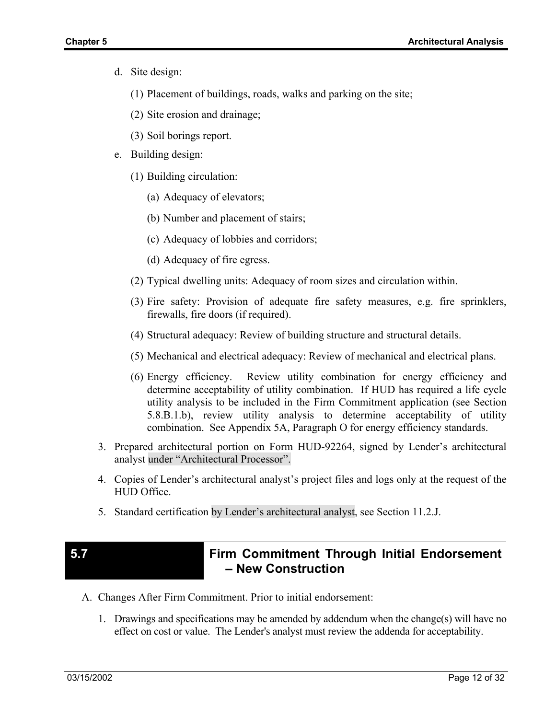- d. Site design:
	- (1) Placement of buildings, roads, walks and parking on the site;
	- (2) Site erosion and drainage;
	- (3) Soil borings report.
- e. Building design:
	- (1) Building circulation:
		- (a) Adequacy of elevators;
		- (b) Number and placement of stairs;
		- (c) Adequacy of lobbies and corridors;
		- (d) Adequacy of fire egress.
	- (2) Typical dwelling units: Adequacy of room sizes and circulation within.
	- (3) Fire safety: Provision of adequate fire safety measures, e.g. fire sprinklers, firewalls, fire doors (if required).
	- (4) Structural adequacy: Review of building structure and structural details.
	- (5) Mechanical and electrical adequacy: Review of mechanical and electrical plans.
	- (6) Energy efficiency. Review utility combination for energy efficiency and determine acceptability of utility combination. If HUD has required a life cycle utility analysis to be included in the Firm Commitment application (see Section 5.8.B.1.b), review utility analysis to determine acceptability of utility combination. See Appendix 5A, Paragraph O for energy efficiency standards.
- 3. Prepared architectural portion on Form HUD-92264, signed by Lender's architectural analyst under "Architectural Processor".
- 4. Copies of Lender's architectural analyst's project files and logs only at the request of the HUD Office.
- 5. Standard certification by Lender's architectural analyst, see Section 11.2.J.

## **5.7 Firm Commitment Through Initial Endorsement – New Construction**

- A. Changes After Firm Commitment. Prior to initial endorsement:
	- 1. Drawings and specifications may be amended by addendum when the change(s) will have no effect on cost or value. The Lender's analyst must review the addenda for acceptability.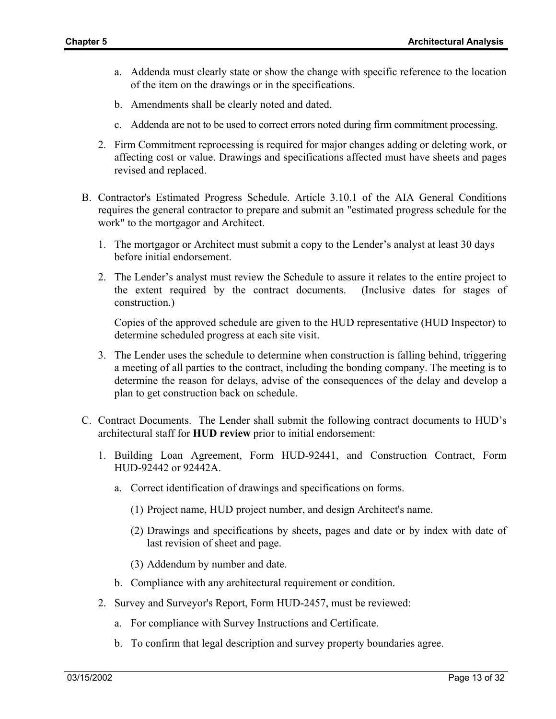- a. Addenda must clearly state or show the change with specific reference to the location of the item on the drawings or in the specifications.
- b. Amendments shall be clearly noted and dated.
- c. Addenda are not to be used to correct errors noted during firm commitment processing.
- 2. Firm Commitment reprocessing is required for major changes adding or deleting work, or affecting cost or value. Drawings and specifications affected must have sheets and pages revised and replaced.
- B. Contractor's Estimated Progress Schedule. Article 3.10.1 of the AIA General Conditions requires the general contractor to prepare and submit an "estimated progress schedule for the work" to the mortgagor and Architect.
	- 1. The mortgagor or Architect must submit a copy to the Lender's analyst at least 30 days before initial endorsement.
	- 2. The Lender's analyst must review the Schedule to assure it relates to the entire project to the extent required by the contract documents. (Inclusive dates for stages of construction.)

Copies of the approved schedule are given to the HUD representative (HUD Inspector) to determine scheduled progress at each site visit.

- 3. The Lender uses the schedule to determine when construction is falling behind, triggering a meeting of all parties to the contract, including the bonding company. The meeting is to determine the reason for delays, advise of the consequences of the delay and develop a plan to get construction back on schedule.
- C. Contract Documents. The Lender shall submit the following contract documents to HUD's architectural staff for **HUD review** prior to initial endorsement:
	- 1. Building Loan Agreement, Form HUD-92441, and Construction Contract, Form HUD-92442 or 92442A.
		- a. Correct identification of drawings and specifications on forms.
			- (1) Project name, HUD project number, and design Architect's name.
			- (2) Drawings and specifications by sheets, pages and date or by index with date of last revision of sheet and page.
			- (3) Addendum by number and date.
		- b. Compliance with any architectural requirement or condition.
	- 2. Survey and Surveyor's Report, Form HUD-2457, must be reviewed:
		- a. For compliance with Survey Instructions and Certificate.
		- b. To confirm that legal description and survey property boundaries agree.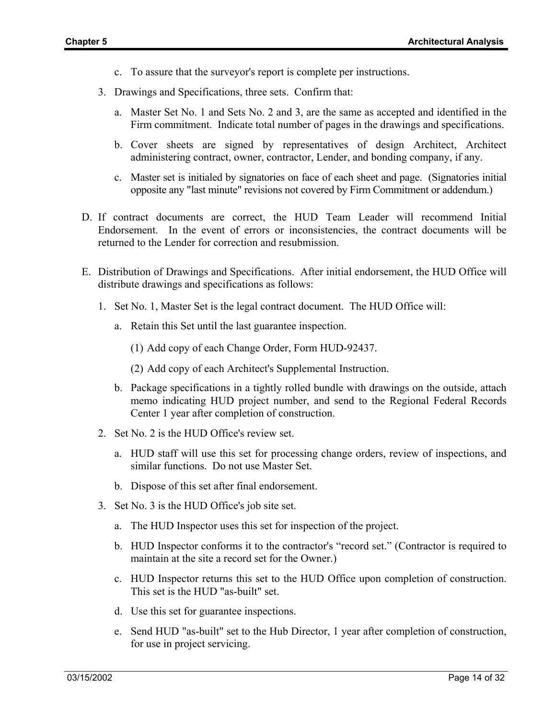- c. To assure that the surveyor's report is complete per instructions.
- 3. Drawings and Specifications, three sets. Confirm that:
	- a. Master Set No. 1 and Sets No. 2 and 3, are the same as accepted and identified in the Firm commitment. Indicate total number of pages in the drawings and specifications.
	- b. Cover sheets are signed by representatives of design Architect, Architect administering contract, owner, contractor, Lender, and bonding company, if any.
	- c. Master set is initialed by signatories on face of each sheet and page. (Signatories initial opposite any "last minute" revisions not covered by Firm Commitment or addendum.)
- D. If contract documents are correct, the HUD Team Leader will recommend Initial Endorsement. In the event of errors or inconsistencies, the contract documents will be returned to the Lender for correction and resubmission.
- E. Distribution of Drawings and Specifications. After initial endorsement, the HUD Office will distribute drawings and specifications as follows:
	- 1. Set No. 1, Master Set is the legal contract document. The HUD Office will:
		- a. Retain this Set until the last guarantee inspection.
			- (1) Add copy of each Change Order, Form HUD-92437.
			- (2) Add copy of each Architect's Supplemental Instruction.
		- b. Package specifications in a tightly rolled bundle with drawings on the outside, attach memo indicating HUD project number, and send to the Regional Federal Records Center 1 year after completion of construction.
	- 2. Set No. 2 is the HUD Office's review set.
		- a. HUD staff will use this set for processing change orders, review of inspections, and similar functions. Do not use Master Set.
		- b. Dispose of this set after final endorsement.
	- 3. Set No. 3 is the HUD Office's job site set.
		- a. The HUD Inspector uses this set for inspection of the project.
		- b. HUD Inspector conforms it to the contractor's "record set." (Contractor is required to maintain at the site a record set for the Owner.)
		- c. HUD Inspector returns this set to the HUD Office upon completion of construction. This set is the HUD "as-built" set.
		- d. Use this set for guarantee inspections.
		- e. Send HUD "as-built" set to the Hub Director, 1 year after completion of construction, for use in project servicing.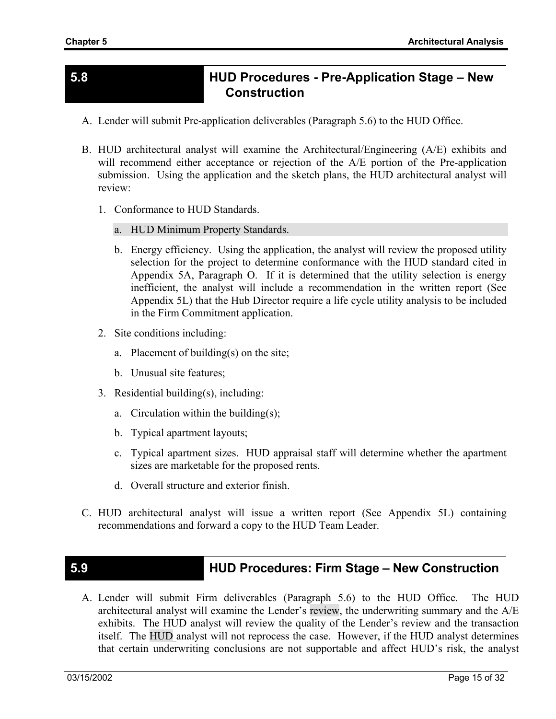### **5.8 HUD Procedures - Pre-Application Stage – New Construction**

- A. Lender will submit Pre-application deliverables (Paragraph 5.6) to the HUD Office.
- B. HUD architectural analyst will examine the Architectural/Engineering (A/E) exhibits and will recommend either acceptance or rejection of the A/E portion of the Pre-application submission. Using the application and the sketch plans, the HUD architectural analyst will review:
	- 1. Conformance to HUD Standards.
		- a. HUD Minimum Property Standards.
		- b. Energy efficiency. Using the application, the analyst will review the proposed utility selection for the project to determine conformance with the HUD standard cited in Appendix 5A, Paragraph O. If it is determined that the utility selection is energy inefficient, the analyst will include a recommendation in the written report (See Appendix 5L) that the Hub Director require a life cycle utility analysis to be included in the Firm Commitment application.
	- 2. Site conditions including:
		- a. Placement of building(s) on the site;
		- b. Unusual site features;
	- 3. Residential building(s), including:
		- a. Circulation within the building(s);
		- b. Typical apartment layouts;
		- c. Typical apartment sizes. HUD appraisal staff will determine whether the apartment sizes are marketable for the proposed rents.
		- d. Overall structure and exterior finish.
- C. HUD architectural analyst will issue a written report (See Appendix 5L) containing recommendations and forward a copy to the HUD Team Leader.

### **5.9 HUD Procedures: Firm Stage – New Construction**

A. Lender will submit Firm deliverables (Paragraph 5.6) to the HUD Office. The HUD architectural analyst will examine the Lender's review, the underwriting summary and the A/E exhibits. The HUD analyst will review the quality of the Lender's review and the transaction itself. The HUD analyst will not reprocess the case. However, if the HUD analyst determines that certain underwriting conclusions are not supportable and affect HUD's risk, the analyst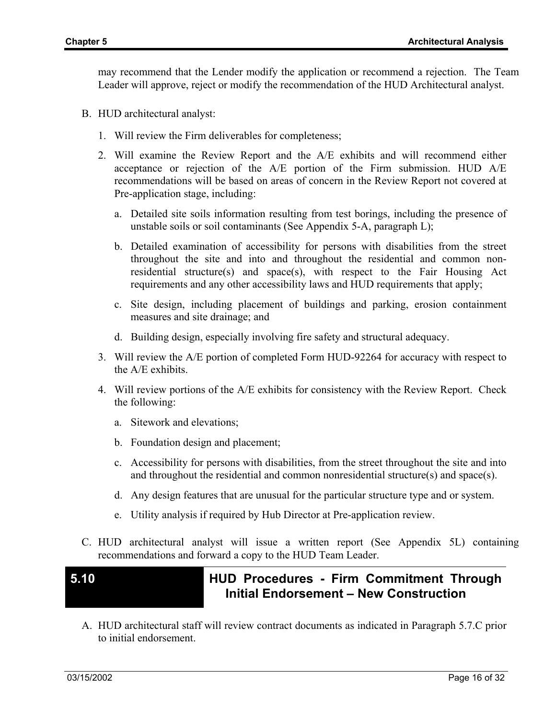may recommend that the Lender modify the application or recommend a rejection. The Team Leader will approve, reject or modify the recommendation of the HUD Architectural analyst.

- B. HUD architectural analyst:
	- 1. Will review the Firm deliverables for completeness;
	- 2. Will examine the Review Report and the A/E exhibits and will recommend either acceptance or rejection of the A/E portion of the Firm submission. HUD A/E recommendations will be based on areas of concern in the Review Report not covered at Pre-application stage, including:
		- a. Detailed site soils information resulting from test borings, including the presence of unstable soils or soil contaminants (See Appendix 5-A, paragraph L);
		- b. Detailed examination of accessibility for persons with disabilities from the street throughout the site and into and throughout the residential and common nonresidential structure(s) and space(s), with respect to the Fair Housing Act requirements and any other accessibility laws and HUD requirements that apply;
		- c. Site design, including placement of buildings and parking, erosion containment measures and site drainage; and
		- d. Building design, especially involving fire safety and structural adequacy.
	- 3. Will review the A/E portion of completed Form HUD-92264 for accuracy with respect to the A/E exhibits.
	- 4. Will review portions of the A/E exhibits for consistency with the Review Report. Check the following:
		- a. Sitework and elevations;
		- b. Foundation design and placement;
		- c. Accessibility for persons with disabilities, from the street throughout the site and into and throughout the residential and common nonresidential structure(s) and space(s).
		- d. Any design features that are unusual for the particular structure type and or system.
		- e. Utility analysis if required by Hub Director at Pre-application review.
- C. HUD architectural analyst will issue a written report (See Appendix 5L) containing recommendations and forward a copy to the HUD Team Leader.

## **5.10 HUD Procedures - Firm Commitment Through Initial Endorsement – New Construction**

A. HUD architectural staff will review contract documents as indicated in Paragraph 5.7.C prior to initial endorsement.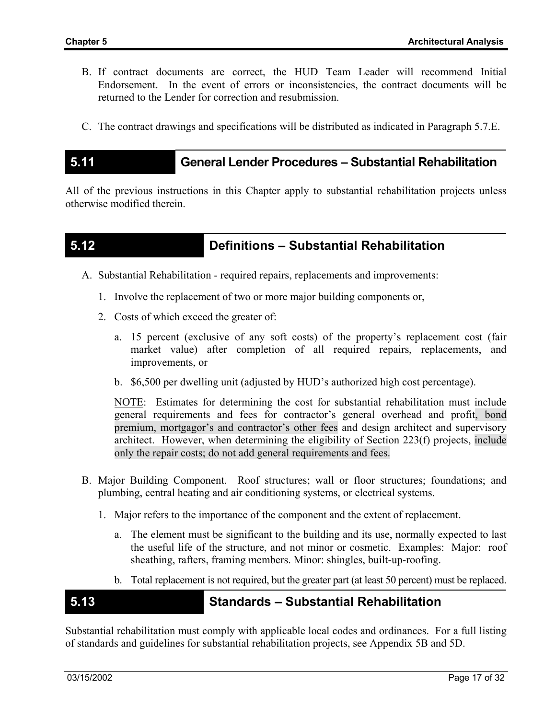- B. If contract documents are correct, the HUD Team Leader will recommend Initial Endorsement. In the event of errors or inconsistencies, the contract documents will be returned to the Lender for correction and resubmission.
- C. The contract drawings and specifications will be distributed as indicated in Paragraph 5.7.E.

### **5.11 General Lender Procedures – Substantial Rehabilitation**

All of the previous instructions in this Chapter apply to substantial rehabilitation projects unless otherwise modified therein.

### **5.12 Definitions – Substantial Rehabilitation**

- A. Substantial Rehabilitation required repairs, replacements and improvements:
	- 1. Involve the replacement of two or more major building components or,
	- 2. Costs of which exceed the greater of:
		- a. 15 percent (exclusive of any soft costs) of the property's replacement cost (fair market value) after completion of all required repairs, replacements, and improvements, or
		- b. \$6,500 per dwelling unit (adjusted by HUD's authorized high cost percentage).

NOTE: Estimates for determining the cost for substantial rehabilitation must include general requirements and fees for contractor's general overhead and profit, bond premium, mortgagor's and contractor's other fees and design architect and supervisory architect. However, when determining the eligibility of Section 223(f) projects, include only the repair costs; do not add general requirements and fees.

- B. Major Building Component. Roof structures; wall or floor structures; foundations; and plumbing, central heating and air conditioning systems, or electrical systems.
	- 1. Major refers to the importance of the component and the extent of replacement.
		- a. The element must be significant to the building and its use, normally expected to last the useful life of the structure, and not minor or cosmetic. Examples: Major: roof sheathing, rafters, framing members. Minor: shingles, built-up-roofing.
		- b. Total replacement is not required, but the greater part (at least 50 percent) must be replaced.

### **5.13 Standards – Substantial Rehabilitation**

Substantial rehabilitation must comply with applicable local codes and ordinances. For a full listing of standards and guidelines for substantial rehabilitation projects, see Appendix 5B and 5D.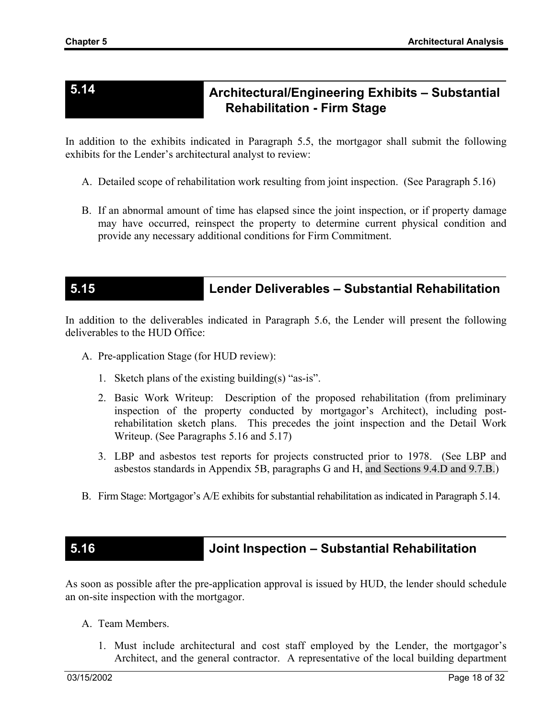# **5.14 Architectural/Engineering Exhibits – Substantial Rehabilitation - Firm Stage**

In addition to the exhibits indicated in Paragraph 5.5, the mortgagor shall submit the following exhibits for the Lender's architectural analyst to review:

- A. Detailed scope of rehabilitation work resulting from joint inspection. (See Paragraph 5.16)
- B. If an abnormal amount of time has elapsed since the joint inspection, or if property damage may have occurred, reinspect the property to determine current physical condition and provide any necessary additional conditions for Firm Commitment.

# **5.15 Lender Deliverables – Substantial Rehabilitation**

In addition to the deliverables indicated in Paragraph 5.6, the Lender will present the following deliverables to the HUD Office:

- A. Pre-application Stage (for HUD review):
	- 1. Sketch plans of the existing building(s) "as-is".
	- 2. Basic Work Writeup: Description of the proposed rehabilitation (from preliminary inspection of the property conducted by mortgagor's Architect), including postrehabilitation sketch plans. This precedes the joint inspection and the Detail Work Writeup. (See Paragraphs 5.16 and 5.17)
	- 3. LBP and asbestos test reports for projects constructed prior to 1978. (See LBP and asbestos standards in Appendix 5B, paragraphs G and H, and Sections 9.4.D and 9.7.B.)
- B. Firm Stage: Mortgagor's A/E exhibits for substantial rehabilitation as indicated in Paragraph 5.14.

## **5.16 Joint Inspection – Substantial Rehabilitation**

As soon as possible after the pre-application approval is issued by HUD, the lender should schedule an on-site inspection with the mortgagor.

- A. Team Members.
	- 1. Must include architectural and cost staff employed by the Lender, the mortgagor's Architect, and the general contractor. A representative of the local building department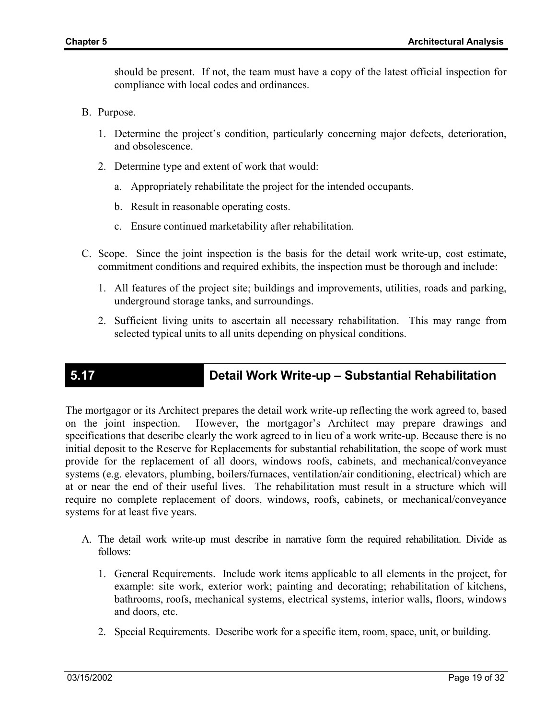should be present. If not, the team must have a copy of the latest official inspection for compliance with local codes and ordinances.

- B. Purpose.
	- 1. Determine the project's condition, particularly concerning major defects, deterioration, and obsolescence.
	- 2. Determine type and extent of work that would:
		- a. Appropriately rehabilitate the project for the intended occupants.
		- b. Result in reasonable operating costs.
		- c. Ensure continued marketability after rehabilitation.
- C. Scope. Since the joint inspection is the basis for the detail work write-up, cost estimate, commitment conditions and required exhibits, the inspection must be thorough and include:
	- 1. All features of the project site; buildings and improvements, utilities, roads and parking, underground storage tanks, and surroundings.
	- 2. Sufficient living units to ascertain all necessary rehabilitation. This may range from selected typical units to all units depending on physical conditions.

# **5.17 Detail Work Write-up – Substantial Rehabilitation**

The mortgagor or its Architect prepares the detail work write-up reflecting the work agreed to, based on the joint inspection. However, the mortgagor's Architect may prepare drawings and specifications that describe clearly the work agreed to in lieu of a work write-up. Because there is no initial deposit to the Reserve for Replacements for substantial rehabilitation, the scope of work must provide for the replacement of all doors, windows roofs, cabinets, and mechanical/conveyance systems (e.g. elevators, plumbing, boilers/furnaces, ventilation/air conditioning, electrical) which are at or near the end of their useful lives. The rehabilitation must result in a structure which will require no complete replacement of doors, windows, roofs, cabinets, or mechanical/conveyance systems for at least five years.

- A. The detail work write-up must describe in narrative form the required rehabilitation. Divide as follows:
	- 1. General Requirements. Include work items applicable to all elements in the project, for example: site work, exterior work; painting and decorating; rehabilitation of kitchens, bathrooms, roofs, mechanical systems, electrical systems, interior walls, floors, windows and doors, etc.
	- 2. Special Requirements. Describe work for a specific item, room, space, unit, or building.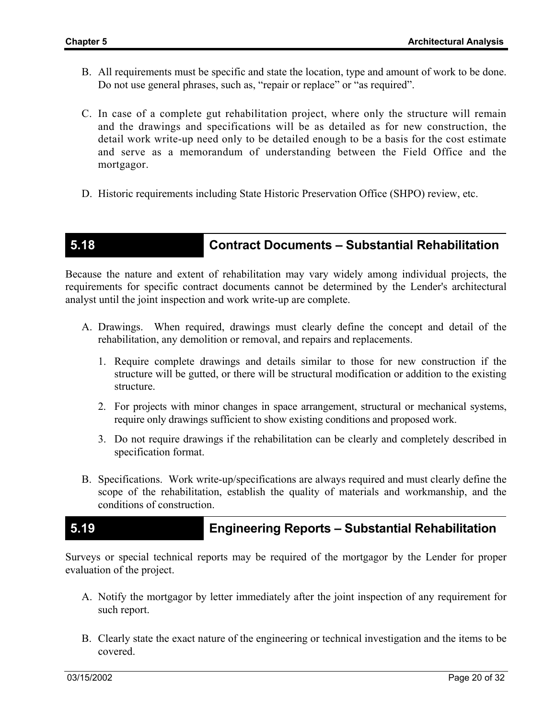- B. All requirements must be specific and state the location, type and amount of work to be done. Do not use general phrases, such as, "repair or replace" or "as required".
- C. In case of a complete gut rehabilitation project, where only the structure will remain and the drawings and specifications will be as detailed as for new construction, the detail work write-up need only to be detailed enough to be a basis for the cost estimate and serve as a memorandum of understanding between the Field Office and the mortgagor.
- D. Historic requirements including State Historic Preservation Office (SHPO) review, etc.

## **5.18 Contract Documents – Substantial Rehabilitation**

Because the nature and extent of rehabilitation may vary widely among individual projects, the requirements for specific contract documents cannot be determined by the Lender's architectural analyst until the joint inspection and work write-up are complete.

- A. Drawings. When required, drawings must clearly define the concept and detail of the rehabilitation, any demolition or removal, and repairs and replacements.
	- 1. Require complete drawings and details similar to those for new construction if the structure will be gutted, or there will be structural modification or addition to the existing structure.
	- 2. For projects with minor changes in space arrangement, structural or mechanical systems, require only drawings sufficient to show existing conditions and proposed work.
	- 3. Do not require drawings if the rehabilitation can be clearly and completely described in specification format.
- B. Specifications. Work write-up/specifications are always required and must clearly define the scope of the rehabilitation, establish the quality of materials and workmanship, and the conditions of construction.

### **5.19 Engineering Reports – Substantial Rehabilitation**

Surveys or special technical reports may be required of the mortgagor by the Lender for proper evaluation of the project.

- A. Notify the mortgagor by letter immediately after the joint inspection of any requirement for such report.
- B. Clearly state the exact nature of the engineering or technical investigation and the items to be covered.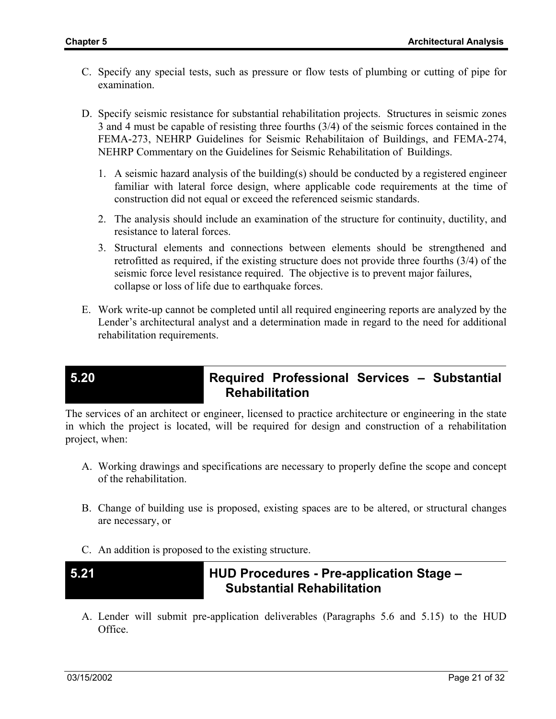- C. Specify any special tests, such as pressure or flow tests of plumbing or cutting of pipe for examination.
- D. Specify seismic resistance for substantial rehabilitation projects. Structures in seismic zones 3 and 4 must be capable of resisting three fourths (3/4) of the seismic forces contained in the FEMA-273, NEHRP Guidelines for Seismic Rehabilitaion of Buildings, and FEMA-274, NEHRP Commentary on the Guidelines for Seismic Rehabilitation of Buildings.
	- 1. A seismic hazard analysis of the building(s) should be conducted by a registered engineer familiar with lateral force design, where applicable code requirements at the time of construction did not equal or exceed the referenced seismic standards.
	- 2. The analysis should include an examination of the structure for continuity, ductility, and resistance to lateral forces.
	- 3. Structural elements and connections between elements should be strengthened and retrofitted as required, if the existing structure does not provide three fourths (3/4) of the seismic force level resistance required. The objective is to prevent major failures, collapse or loss of life due to earthquake forces.
- E. Work write-up cannot be completed until all required engineering reports are analyzed by the Lender's architectural analyst and a determination made in regard to the need for additional rehabilitation requirements.

## **5.20 Required Professional Services – Substantial Rehabilitation**

The services of an architect or engineer, licensed to practice architecture or engineering in the state in which the project is located, will be required for design and construction of a rehabilitation project, when:

- A. Working drawings and specifications are necessary to properly define the scope and concept of the rehabilitation.
- B. Change of building use is proposed, existing spaces are to be altered, or structural changes are necessary, or
- C. An addition is proposed to the existing structure.
- 

## **5.21 HUD Procedures - Pre-application Stage – Substantial Rehabilitation**

A. Lender will submit pre-application deliverables (Paragraphs 5.6 and 5.15) to the HUD Office.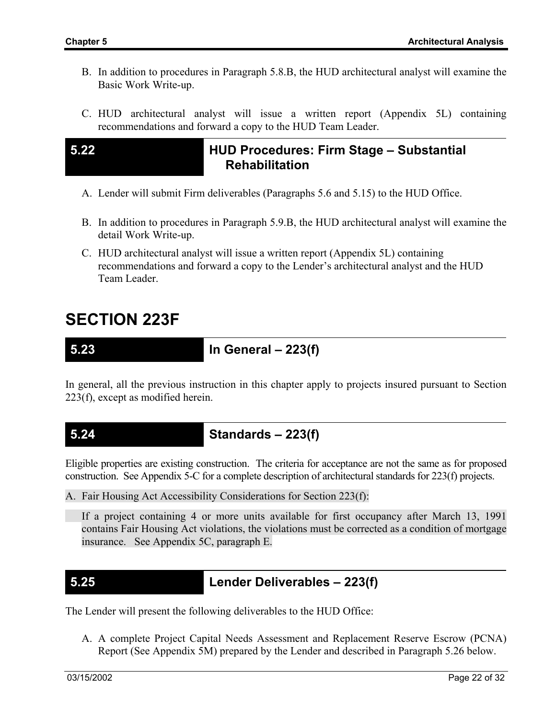- B. In addition to procedures in Paragraph 5.8.B, the HUD architectural analyst will examine the Basic Work Write-up.
- C. HUD architectural analyst will issue a written report (Appendix 5L) containing recommendations and forward a copy to the HUD Team Leader.

## **5.22 HUD Procedures: Firm Stage – Substantial Rehabilitation**

- A. Lender will submit Firm deliverables (Paragraphs 5.6 and 5.15) to the HUD Office.
- B. In addition to procedures in Paragraph 5.9.B, the HUD architectural analyst will examine the detail Work Write-up.
- C. HUD architectural analyst will issue a written report (Appendix 5L) containing recommendations and forward a copy to the Lender's architectural analyst and the HUD Team Leader.

# **SECTION 223F**

**5.23 In General – 223(f)** 

In general, all the previous instruction in this chapter apply to projects insured pursuant to Section 223(f), except as modified herein.

**5.24 Standards – 223(f)** 

Eligible properties are existing construction. The criteria for acceptance are not the same as for proposed construction. See Appendix 5-C for a complete description of architectural standards for 223(f) projects.

A. Fair Housing Act Accessibility Considerations for Section 223(f):

If a project containing 4 or more units available for first occupancy after March 13, 1991 contains Fair Housing Act violations, the violations must be corrected as a condition of mortgage insurance. See Appendix 5C, paragraph E.

**5.25 Lender Deliverables – 223(f)** 

The Lender will present the following deliverables to the HUD Office:

A. A complete Project Capital Needs Assessment and Replacement Reserve Escrow (PCNA) Report (See Appendix 5M) prepared by the Lender and described in Paragraph 5.26 below.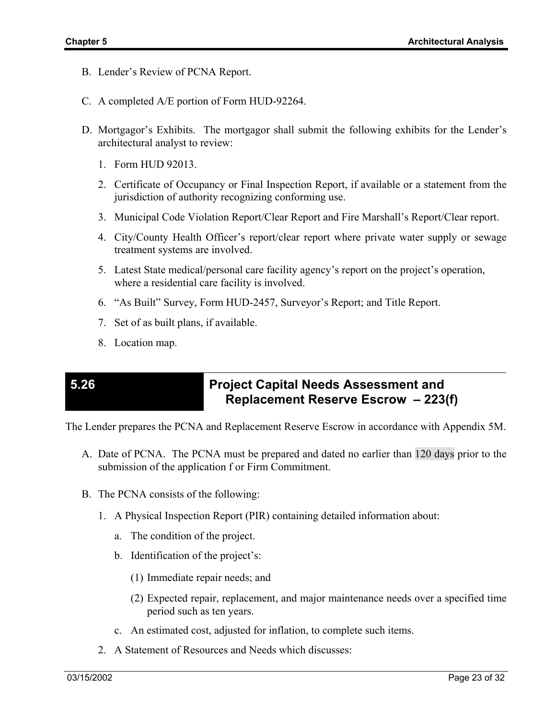- B. Lender's Review of PCNA Report.
- C. A completed A/E portion of Form HUD-92264.
- D. Mortgagor's Exhibits. The mortgagor shall submit the following exhibits for the Lender's architectural analyst to review:
	- 1. Form HUD 92013.
	- 2. Certificate of Occupancy or Final Inspection Report, if available or a statement from the jurisdiction of authority recognizing conforming use.
	- 3. Municipal Code Violation Report/Clear Report and Fire Marshall's Report/Clear report.
	- 4. City/County Health Officer's report/clear report where private water supply or sewage treatment systems are involved.
	- 5. Latest State medical/personal care facility agency's report on the project's operation, where a residential care facility is involved.
	- 6. "As Built" Survey, Form HUD-2457, Surveyor's Report; and Title Report.
	- 7. Set of as built plans, if available.
	- 8. Location map.

## **5.26 Project Capital Needs Assessment and Replacement Reserve Escrow – 223(f)**

The Lender prepares the PCNA and Replacement Reserve Escrow in accordance with Appendix 5M.

- A. Date of PCNA. The PCNA must be prepared and dated no earlier than 120 days prior to the submission of the application f or Firm Commitment.
- B. The PCNA consists of the following:
	- 1. A Physical Inspection Report (PIR) containing detailed information about:
		- a. The condition of the project.
		- b. Identification of the project's:
			- (1) Immediate repair needs; and
			- (2) Expected repair, replacement, and major maintenance needs over a specified time period such as ten years.
		- c. An estimated cost, adjusted for inflation, to complete such items.
	- 2. A Statement of Resources and Needs which discusses: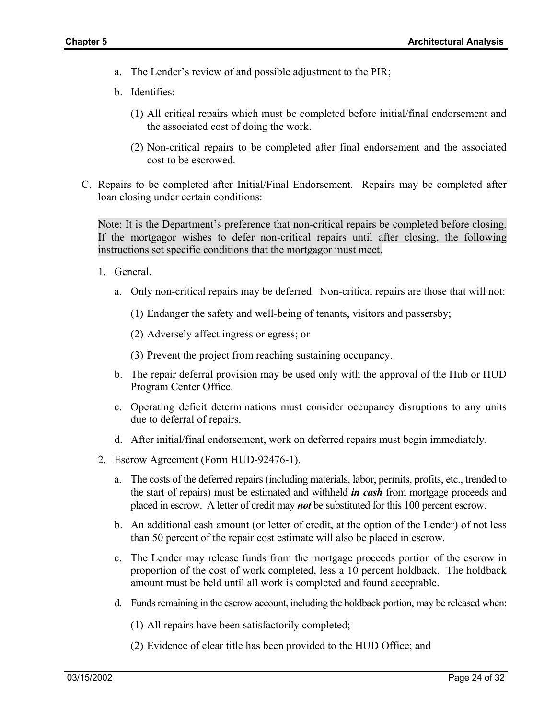- a. The Lender's review of and possible adjustment to the PIR;
- b. Identifies:
	- (1) All critical repairs which must be completed before initial/final endorsement and the associated cost of doing the work.
	- (2) Non-critical repairs to be completed after final endorsement and the associated cost to be escrowed.
- C. Repairs to be completed after Initial/Final Endorsement. Repairs may be completed after loan closing under certain conditions:

Note: It is the Department's preference that non-critical repairs be completed before closing. If the mortgagor wishes to defer non-critical repairs until after closing, the following instructions set specific conditions that the mortgagor must meet.

- 1. General.
	- a. Only non-critical repairs may be deferred. Non-critical repairs are those that will not:
		- (1) Endanger the safety and well-being of tenants, visitors and passersby;
		- (2) Adversely affect ingress or egress; or

(3) Prevent the project from reaching sustaining occupancy.

- b. The repair deferral provision may be used only with the approval of the Hub or HUD Program Center Office.
- c. Operating deficit determinations must consider occupancy disruptions to any units due to deferral of repairs.
- d. After initial/final endorsement, work on deferred repairs must begin immediately.
- 2. Escrow Agreement (Form HUD-92476-1).
	- a. The costs of the deferred repairs (including materials, labor, permits, profits, etc., trended to the start of repairs) must be estimated and withheld *in cash* from mortgage proceeds and placed in escrow. A letter of credit may *not* be substituted for this 100 percent escrow.
	- b. An additional cash amount (or letter of credit, at the option of the Lender) of not less than 50 percent of the repair cost estimate will also be placed in escrow.
	- c. The Lender may release funds from the mortgage proceeds portion of the escrow in proportion of the cost of work completed, less a 10 percent holdback. The holdback amount must be held until all work is completed and found acceptable.
	- d. Funds remaining in the escrow account, including the holdback portion, may be released when:

(1) All repairs have been satisfactorily completed;

(2) Evidence of clear title has been provided to the HUD Office; and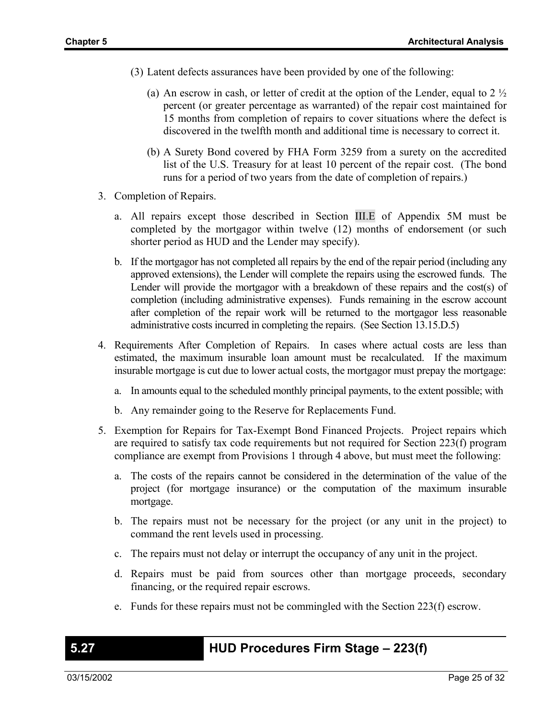- (3) Latent defects assurances have been provided by one of the following:
	- (a) An escrow in cash, or letter of credit at the option of the Lender, equal to 2  $\frac{1}{2}$ percent (or greater percentage as warranted) of the repair cost maintained for 15 months from completion of repairs to cover situations where the defect is discovered in the twelfth month and additional time is necessary to correct it.
	- (b) A Surety Bond covered by FHA Form 3259 from a surety on the accredited list of the U.S. Treasury for at least 10 percent of the repair cost. (The bond runs for a period of two years from the date of completion of repairs.)
- 3. Completion of Repairs.
	- a. All repairs except those described in Section III.E of Appendix 5M must be completed by the mortgagor within twelve (12) months of endorsement (or such shorter period as HUD and the Lender may specify).
	- b. If the mortgagor has not completed all repairs by the end of the repair period (including any approved extensions), the Lender will complete the repairs using the escrowed funds. The Lender will provide the mortgagor with a breakdown of these repairs and the cost(s) of completion (including administrative expenses). Funds remaining in the escrow account after completion of the repair work will be returned to the mortgagor less reasonable administrative costs incurred in completing the repairs. (See Section 13.15.D.5)
- 4. Requirements After Completion of Repairs. In cases where actual costs are less than estimated, the maximum insurable loan amount must be recalculated. If the maximum insurable mortgage is cut due to lower actual costs, the mortgagor must prepay the mortgage:
	- a. In amounts equal to the scheduled monthly principal payments, to the extent possible; with
	- b. Any remainder going to the Reserve for Replacements Fund.
- 5. Exemption for Repairs for Tax-Exempt Bond Financed Projects. Project repairs which are required to satisfy tax code requirements but not required for Section 223(f) program compliance are exempt from Provisions 1 through 4 above, but must meet the following:
	- a. The costs of the repairs cannot be considered in the determination of the value of the project (for mortgage insurance) or the computation of the maximum insurable mortgage.
	- b. The repairs must not be necessary for the project (or any unit in the project) to command the rent levels used in processing.
	- c. The repairs must not delay or interrupt the occupancy of any unit in the project.
	- d. Repairs must be paid from sources other than mortgage proceeds, secondary financing, or the required repair escrows.
	- e. Funds for these repairs must not be commingled with the Section 223(f) escrow.

### **5.27 HUD Procedures Firm Stage – 223(f)**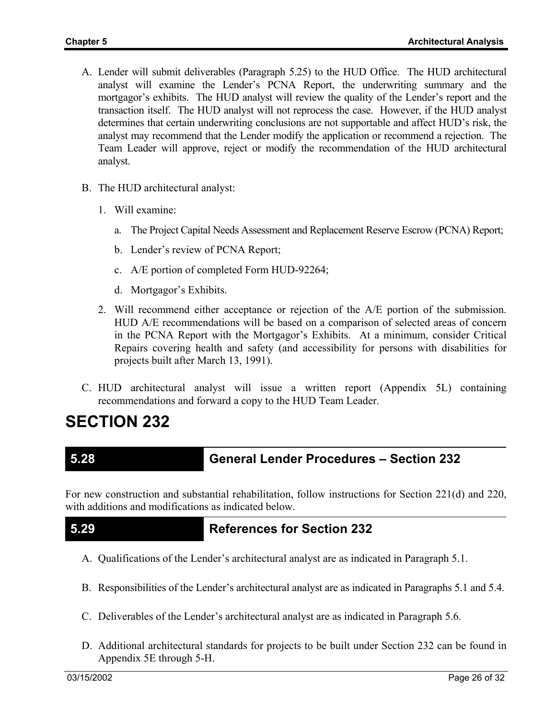- A. Lender will submit deliverables (Paragraph 5.25) to the HUD Office. The HUD architectural analyst will examine the Lender's PCNA Report, the underwriting summary and the mortgagor's exhibits. The HUD analyst will review the quality of the Lender's report and the transaction itself. The HUD analyst will not reprocess the case. However, if the HUD analyst determines that certain underwriting conclusions are not supportable and affect HUD's risk, the analyst may recommend that the Lender modify the application or recommend a rejection. The Team Leader will approve, reject or modify the recommendation of the HUD architectural analyst.
- B. The HUD architectural analyst:
	- 1. Will examine:
		- a. The Project Capital Needs Assessment and Replacement Reserve Escrow (PCNA) Report;
		- b. Lender's review of PCNA Report;
		- c. A/E portion of completed Form HUD-92264;
		- d. Mortgagor's Exhibits.
	- 2. Will recommend either acceptance or rejection of the A/E portion of the submission. HUD A/E recommendations will be based on a comparison of selected areas of concern in the PCNA Report with the Mortgagor's Exhibits. At a minimum, consider Critical Repairs covering health and safety (and accessibility for persons with disabilities for projects built after March 13, 1991).
- C. HUD architectural analyst will issue a written report (Appendix 5L) containing recommendations and forward a copy to the HUD Team Leader.

# **SECTION 232**

### **5.28 General Lender Procedures – Section 232**

For new construction and substantial rehabilitation, follow instructions for Section 221(d) and 220, with additions and modifications as indicated below.

### **5.29 References for Section 232**

- A. Qualifications of the Lender's architectural analyst are as indicated in Paragraph 5.1.
- B. Responsibilities of the Lender's architectural analyst are as indicated in Paragraphs 5.1 and 5.4.
- C. Deliverables of the Lender's architectural analyst are as indicated in Paragraph 5.6.
- D. Additional architectural standards for projects to be built under Section 232 can be found in Appendix 5E through 5-H.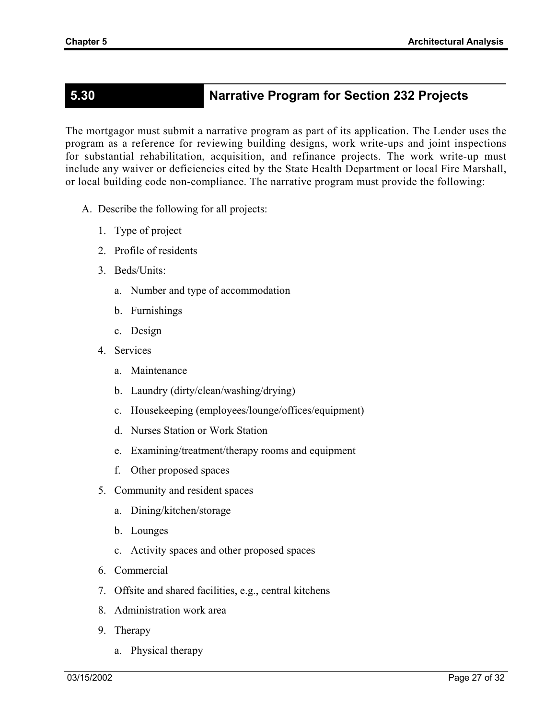# **5.30 Narrative Program for Section 232 Projects**

The mortgagor must submit a narrative program as part of its application. The Lender uses the program as a reference for reviewing building designs, work write-ups and joint inspections for substantial rehabilitation, acquisition, and refinance projects. The work write-up must include any waiver or deficiencies cited by the State Health Department or local Fire Marshall, or local building code non-compliance. The narrative program must provide the following:

- A. Describe the following for all projects:
	- 1. Type of project
	- 2. Profile of residents
	- 3. Beds/Units:
		- a. Number and type of accommodation
		- b. Furnishings
		- c. Design
	- 4. Services
		- a. Maintenance
		- b. Laundry (dirty/clean/washing/drying)
		- c. Housekeeping (employees/lounge/offices/equipment)
		- d. Nurses Station or Work Station
		- e. Examining/treatment/therapy rooms and equipment
		- f. Other proposed spaces
	- 5. Community and resident spaces
		- a. Dining/kitchen/storage
		- b. Lounges
		- c. Activity spaces and other proposed spaces
	- 6. Commercial
	- 7. Offsite and shared facilities, e.g., central kitchens
	- 8. Administration work area
	- 9. Therapy
		- a. Physical therapy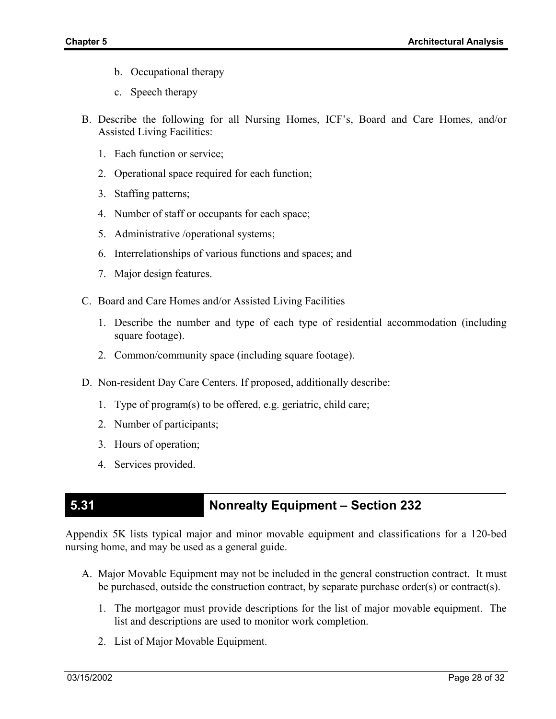- b. Occupational therapy
- c. Speech therapy
- B. Describe the following for all Nursing Homes, ICF's, Board and Care Homes, and/or Assisted Living Facilities:
	- 1. Each function or service;
	- 2. Operational space required for each function;
	- 3. Staffing patterns;
	- 4. Number of staff or occupants for each space;
	- 5. Administrative /operational systems;
	- 6. Interrelationships of various functions and spaces; and
	- 7. Major design features.
- C. Board and Care Homes and/or Assisted Living Facilities
	- 1. Describe the number and type of each type of residential accommodation (including square footage).
	- 2. Common/community space (including square footage).
- D. Non-resident Day Care Centers. If proposed, additionally describe:
	- 1. Type of program(s) to be offered, e.g. geriatric, child care;
	- 2. Number of participants;
	- 3. Hours of operation;
	- 4. Services provided.

# **5.31 Nonrealty Equipment – Section 232**

Appendix 5K lists typical major and minor movable equipment and classifications for a 120-bed nursing home, and may be used as a general guide.

- A. Major Movable Equipment may not be included in the general construction contract. It must be purchased, outside the construction contract, by separate purchase order(s) or contract(s).
	- 1. The mortgagor must provide descriptions for the list of major movable equipment. The list and descriptions are used to monitor work completion.
	- 2. List of Major Movable Equipment.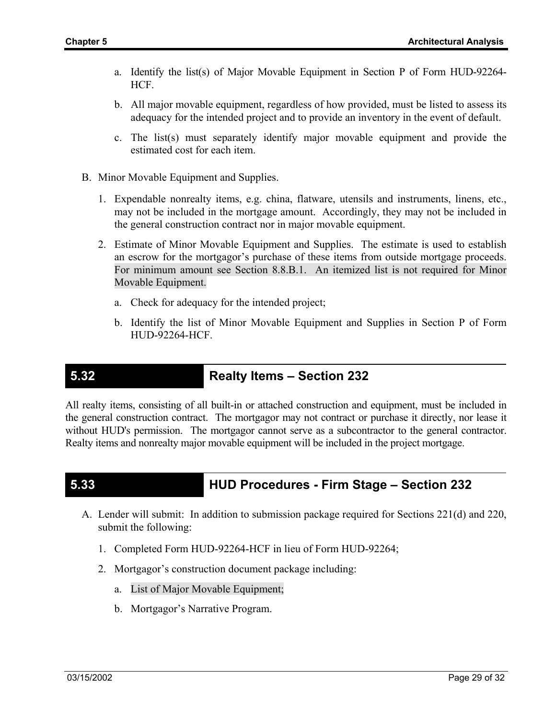- a. Identify the list(s) of Major Movable Equipment in Section P of Form HUD-92264- HCF.
- b. All major movable equipment, regardless of how provided, must be listed to assess its adequacy for the intended project and to provide an inventory in the event of default.
- c. The list(s) must separately identify major movable equipment and provide the estimated cost for each item.
- B. Minor Movable Equipment and Supplies.
	- 1. Expendable nonrealty items, e.g. china, flatware, utensils and instruments, linens, etc., may not be included in the mortgage amount. Accordingly, they may not be included in the general construction contract nor in major movable equipment.
	- 2. Estimate of Minor Movable Equipment and Supplies. The estimate is used to establish an escrow for the mortgagor's purchase of these items from outside mortgage proceeds. For minimum amount see Section 8.8.B.1. An itemized list is not required for Minor Movable Equipment.
		- a. Check for adequacy for the intended project;
		- b. Identify the list of Minor Movable Equipment and Supplies in Section P of Form HUD-92264-HCF.

### **5.32 Realty Items – Section 232**

All realty items, consisting of all built-in or attached construction and equipment, must be included in the general construction contract. The mortgagor may not contract or purchase it directly, nor lease it without HUD's permission. The mortgagor cannot serve as a subcontractor to the general contractor. Realty items and nonrealty major movable equipment will be included in the project mortgage.

# **5.33 HUD Procedures - Firm Stage – Section 232**

- A. Lender will submit: In addition to submission package required for Sections 221(d) and 220, submit the following:
	- 1. Completed Form HUD-92264-HCF in lieu of Form HUD-92264;
	- 2. Mortgagor's construction document package including:
		- a. List of Major Movable Equipment;
		- b. Mortgagor's Narrative Program.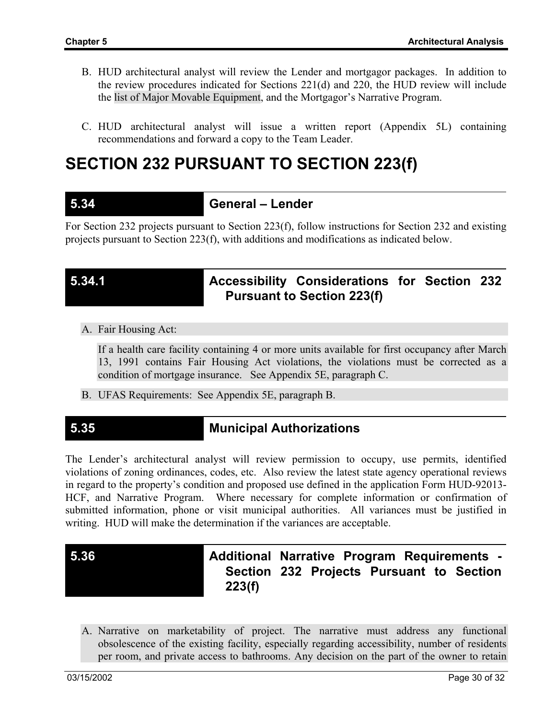- B. HUD architectural analyst will review the Lender and mortgagor packages. In addition to the review procedures indicated for Sections 221(d) and 220, the HUD review will include the list of Major Movable Equipment, and the Mortgagor's Narrative Program.
- C. HUD architectural analyst will issue a written report (Appendix 5L) containing recommendations and forward a copy to the Team Leader.

# **SECTION 232 PURSUANT TO SECTION 223(f)**

### **5.34 General – Lender**

For Section 232 projects pursuant to Section 223(f), follow instructions for Section 232 and existing projects pursuant to Section 223(f), with additions and modifications as indicated below.

# **5.34.1 Accessibility Considerations for Section 232 Pursuant to Section 223(f)**

A. Fair Housing Act:

If a health care facility containing 4 or more units available for first occupancy after March 13, 1991 contains Fair Housing Act violations, the violations must be corrected as a condition of mortgage insurance. See Appendix 5E, paragraph C.

B. UFAS Requirements: See Appendix 5E, paragraph B.

## **5.35 Municipal Authorizations**

The Lender's architectural analyst will review permission to occupy, use permits, identified violations of zoning ordinances, codes, etc. Also review the latest state agency operational reviews in regard to the property's condition and proposed use defined in the application Form HUD-92013- HCF, and Narrative Program. Where necessary for complete information or confirmation of submitted information, phone or visit municipal authorities. All variances must be justified in writing. HUD will make the determination if the variances are acceptable.

# **5.36 Additional Narrative Program Requirements - Section 232 Projects Pursuant to Section 223(f)**

A. Narrative on marketability of project. The narrative must address any functional obsolescence of the existing facility, especially regarding accessibility, number of residents per room, and private access to bathrooms. Any decision on the part of the owner to retain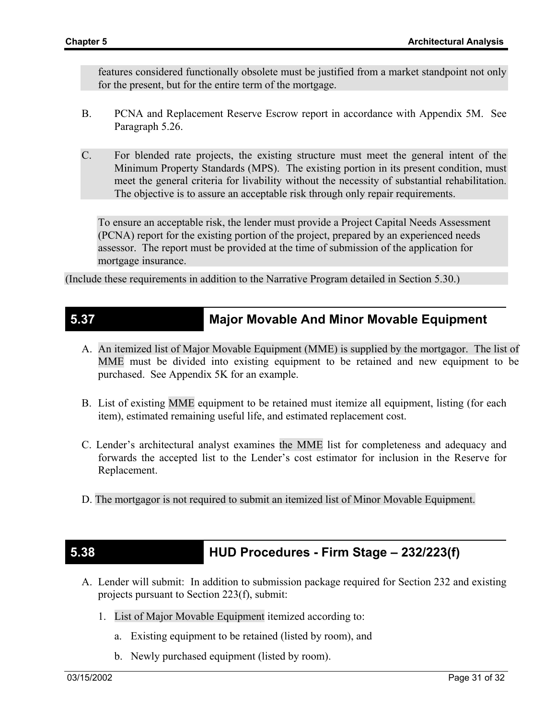features considered functionally obsolete must be justified from a market standpoint not only for the present, but for the entire term of the mortgage.

- B. PCNA and Replacement Reserve Escrow report in accordance with Appendix 5M. See Paragraph 5.26.
- C. For blended rate projects, the existing structure must meet the general intent of the Minimum Property Standards (MPS). The existing portion in its present condition, must meet the general criteria for livability without the necessity of substantial rehabilitation. The objective is to assure an acceptable risk through only repair requirements.

To ensure an acceptable risk, the lender must provide a Project Capital Needs Assessment (PCNA) report for the existing portion of the project, prepared by an experienced needs assessor. The report must be provided at the time of submission of the application for mortgage insurance.

(Include these requirements in addition to the Narrative Program detailed in Section 5.30.)

### **5.37 Major Movable And Minor Movable Equipment**

- A. An itemized list of Major Movable Equipment (MME) is supplied by the mortgagor. The list of MME must be divided into existing equipment to be retained and new equipment to be purchased. See Appendix 5K for an example.
- B. List of existing MME equipment to be retained must itemize all equipment, listing (for each item), estimated remaining useful life, and estimated replacement cost.
- C. Lender's architectural analyst examines the MME list for completeness and adequacy and forwards the accepted list to the Lender's cost estimator for inclusion in the Reserve for Replacement.
- D. The mortgagor is not required to submit an itemized list of Minor Movable Equipment.

### **5.38 HUD Procedures - Firm Stage – 232/223(f)**

- A. Lender will submit: In addition to submission package required for Section 232 and existing projects pursuant to Section 223(f), submit:
	- 1. List of Major Movable Equipment itemized according to:
		- a. Existing equipment to be retained (listed by room), and
		- b. Newly purchased equipment (listed by room).